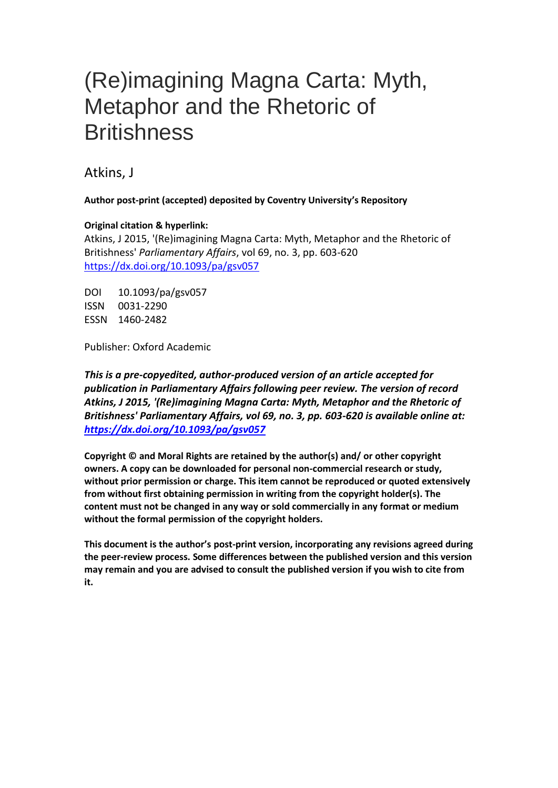# (Re)imagining Magna Carta: Myth, Metaphor and the Rhetoric of **Britishness**

Atkins, J

**Author post-print (accepted) deposited by Coventry University's Repository**

### **Original citation & hyperlink:**

Atkins, J 2015, '(Re)imagining Magna Carta: Myth, Metaphor and the Rhetoric of Britishness' *Parliamentary Affairs*, vol 69, no. 3, pp. 603-620 <https://dx.doi.org/10.1093/pa/gsv057>

DOI 10.1093/pa/gsv057 ISSN 0031-2290 ESSN 1460-2482

Publisher: Oxford Academic

*This is a pre-copyedited, author-produced version of an article accepted for publication in Parliamentary Affairs following peer review. The version of record Atkins, J 2015, '(Re)imagining Magna Carta: Myth, Metaphor and the Rhetoric of Britishness' Parliamentary Affairs, vol 69, no. 3, pp. 603-620 is available online at: <https://dx.doi.org/10.1093/pa/gsv057>*

**Copyright © and Moral Rights are retained by the author(s) and/ or other copyright owners. A copy can be downloaded for personal non-commercial research or study, without prior permission or charge. This item cannot be reproduced or quoted extensively from without first obtaining permission in writing from the copyright holder(s). The content must not be changed in any way or sold commercially in any format or medium without the formal permission of the copyright holders.** 

**This document is the author's post-print version, incorporating any revisions agreed during the peer-review process. Some differences between the published version and this version may remain and you are advised to consult the published version if you wish to cite from it.**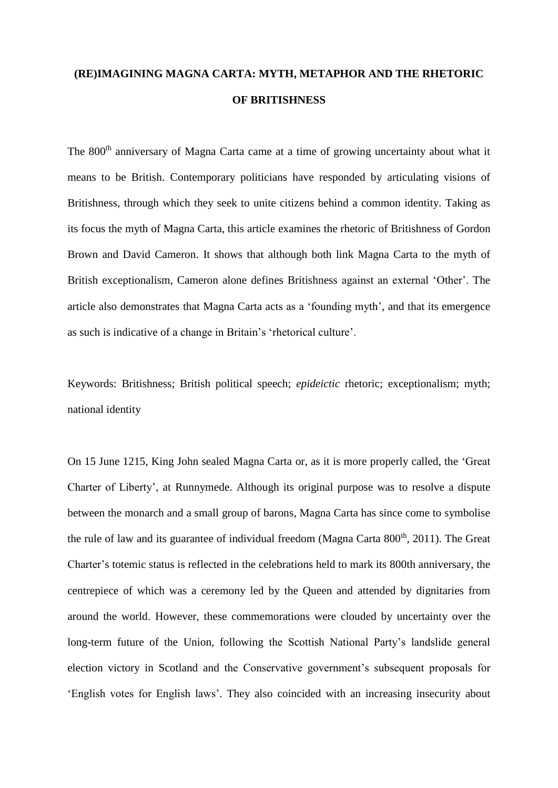## **(RE)IMAGINING MAGNA CARTA: MYTH, METAPHOR AND THE RHETORIC OF BRITISHNESS**

The 800<sup>th</sup> anniversary of Magna Carta came at a time of growing uncertainty about what it means to be British. Contemporary politicians have responded by articulating visions of Britishness, through which they seek to unite citizens behind a common identity. Taking as its focus the myth of Magna Carta, this article examines the rhetoric of Britishness of Gordon Brown and David Cameron. It shows that although both link Magna Carta to the myth of British exceptionalism, Cameron alone defines Britishness against an external 'Other'. The article also demonstrates that Magna Carta acts as a 'founding myth', and that its emergence as such is indicative of a change in Britain's 'rhetorical culture'.

Keywords: Britishness; British political speech; *epideictic* rhetoric; exceptionalism; myth; national identity

On 15 June 1215, King John sealed Magna Carta or, as it is more properly called, the 'Great Charter of Liberty', at Runnymede. Although its original purpose was to resolve a dispute between the monarch and a small group of barons, Magna Carta has since come to symbolise the rule of law and its guarantee of individual freedom (Magna Carta  $800<sup>th</sup>$ , 2011). The Great Charter's totemic status is reflected in the celebrations held to mark its 800th anniversary, the centrepiece of which was a ceremony led by the Queen and attended by dignitaries from around the world. However, these commemorations were clouded by uncertainty over the long-term future of the Union, following the Scottish National Party's landslide general election victory in Scotland and the Conservative government's subsequent proposals for 'English votes for English laws'. They also coincided with an increasing insecurity about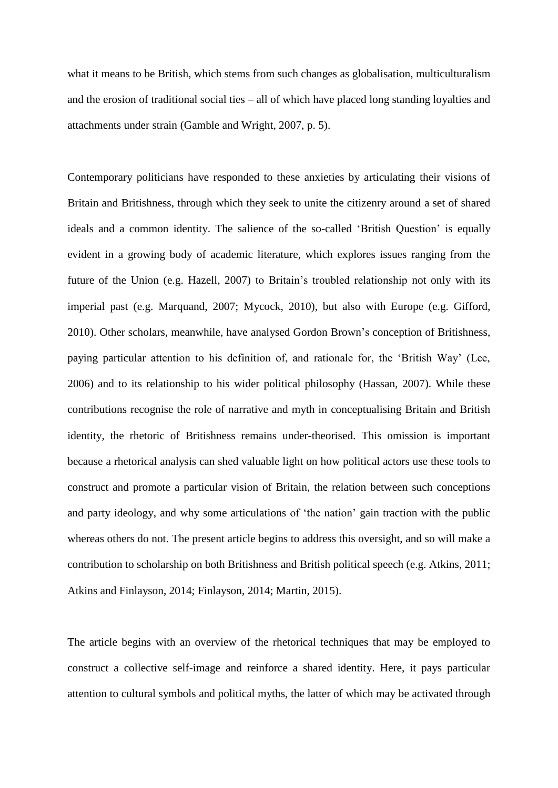what it means to be British, which stems from such changes as globalisation, multiculturalism and the erosion of traditional social ties – all of which have placed long standing loyalties and attachments under strain (Gamble and Wright, 2007, p. 5).

Contemporary politicians have responded to these anxieties by articulating their visions of Britain and Britishness, through which they seek to unite the citizenry around a set of shared ideals and a common identity. The salience of the so-called 'British Question' is equally evident in a growing body of academic literature, which explores issues ranging from the future of the Union (e.g. Hazell, 2007) to Britain's troubled relationship not only with its imperial past (e.g. Marquand, 2007; Mycock, 2010), but also with Europe (e.g. Gifford, 2010). Other scholars, meanwhile, have analysed Gordon Brown's conception of Britishness, paying particular attention to his definition of, and rationale for, the 'British Way' (Lee, 2006) and to its relationship to his wider political philosophy (Hassan, 2007). While these contributions recognise the role of narrative and myth in conceptualising Britain and British identity, the rhetoric of Britishness remains under-theorised. This omission is important because a rhetorical analysis can shed valuable light on how political actors use these tools to construct and promote a particular vision of Britain, the relation between such conceptions and party ideology, and why some articulations of 'the nation' gain traction with the public whereas others do not. The present article begins to address this oversight, and so will make a contribution to scholarship on both Britishness and British political speech (e.g. Atkins, 2011; Atkins and Finlayson, 2014; Finlayson, 2014; Martin, 2015).

The article begins with an overview of the rhetorical techniques that may be employed to construct a collective self-image and reinforce a shared identity. Here, it pays particular attention to cultural symbols and political myths, the latter of which may be activated through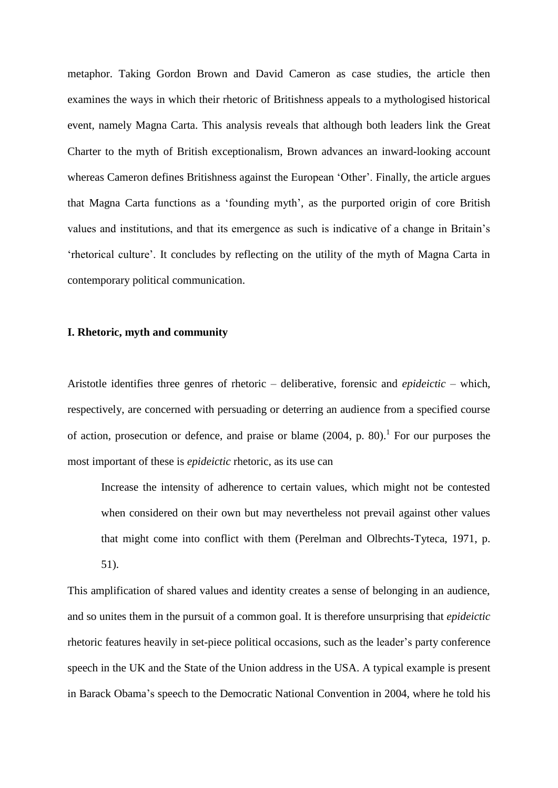metaphor. Taking Gordon Brown and David Cameron as case studies, the article then examines the ways in which their rhetoric of Britishness appeals to a mythologised historical event, namely Magna Carta. This analysis reveals that although both leaders link the Great Charter to the myth of British exceptionalism, Brown advances an inward-looking account whereas Cameron defines Britishness against the European 'Other'. Finally, the article argues that Magna Carta functions as a 'founding myth', as the purported origin of core British values and institutions, and that its emergence as such is indicative of a change in Britain's 'rhetorical culture'. It concludes by reflecting on the utility of the myth of Magna Carta in contemporary political communication.

#### **I. Rhetoric, myth and community**

Aristotle identifies three genres of rhetoric – deliberative, forensic and *epideictic* – which, respectively, are concerned with persuading or deterring an audience from a specified course of action, prosecution or defence, and praise or blame  $(2004, p. 80)$ .<sup>1</sup> For our purposes the most important of these is *epideictic* rhetoric, as its use can

Increase the intensity of adherence to certain values, which might not be contested when considered on their own but may nevertheless not prevail against other values that might come into conflict with them (Perelman and Olbrechts-Tyteca, 1971, p. 51).

This amplification of shared values and identity creates a sense of belonging in an audience, and so unites them in the pursuit of a common goal. It is therefore unsurprising that *epideictic* rhetoric features heavily in set-piece political occasions, such as the leader's party conference speech in the UK and the State of the Union address in the USA. A typical example is present in Barack Obama's speech to the Democratic National Convention in 2004, where he told his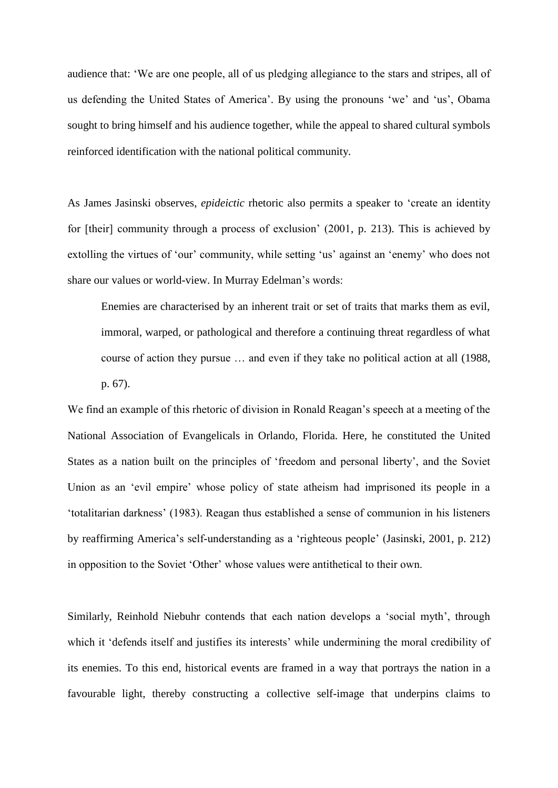audience that: 'We are one people, all of us pledging allegiance to the stars and stripes, all of us defending the United States of America'. By using the pronouns 'we' and 'us', Obama sought to bring himself and his audience together, while the appeal to shared cultural symbols reinforced identification with the national political community.

As James Jasinski observes, *epideictic* rhetoric also permits a speaker to 'create an identity for [their] community through a process of exclusion' (2001, p. 213). This is achieved by extolling the virtues of 'our' community, while setting 'us' against an 'enemy' who does not share our values or world-view. In Murray Edelman's words:

Enemies are characterised by an inherent trait or set of traits that marks them as evil, immoral, warped, or pathological and therefore a continuing threat regardless of what course of action they pursue … and even if they take no political action at all (1988, p. 67).

We find an example of this rhetoric of division in Ronald Reagan's speech at a meeting of the National Association of Evangelicals in Orlando, Florida. Here, he constituted the United States as a nation built on the principles of 'freedom and personal liberty', and the Soviet Union as an 'evil empire' whose policy of state atheism had imprisoned its people in a 'totalitarian darkness' (1983). Reagan thus established a sense of communion in his listeners by reaffirming America's self-understanding as a 'righteous people' (Jasinski, 2001, p. 212) in opposition to the Soviet 'Other' whose values were antithetical to their own.

Similarly, Reinhold Niebuhr contends that each nation develops a 'social myth', through which it 'defends itself and justifies its interests' while undermining the moral credibility of its enemies. To this end, historical events are framed in a way that portrays the nation in a favourable light, thereby constructing a collective self-image that underpins claims to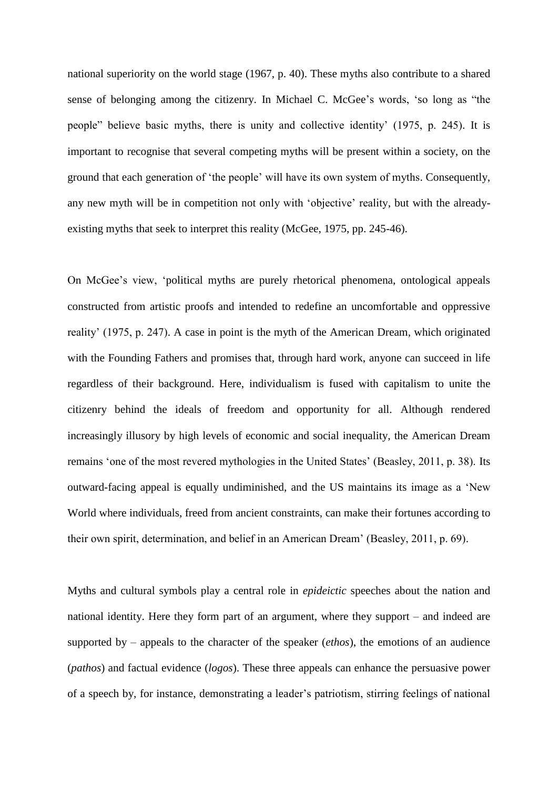national superiority on the world stage (1967, p. 40). These myths also contribute to a shared sense of belonging among the citizenry. In Michael C. McGee's words, 'so long as "the people" believe basic myths, there is unity and collective identity' (1975, p. 245). It is important to recognise that several competing myths will be present within a society, on the ground that each generation of 'the people' will have its own system of myths. Consequently, any new myth will be in competition not only with 'objective' reality, but with the alreadyexisting myths that seek to interpret this reality (McGee, 1975, pp. 245-46).

On McGee's view, 'political myths are purely rhetorical phenomena, ontological appeals constructed from artistic proofs and intended to redefine an uncomfortable and oppressive reality' (1975, p. 247). A case in point is the myth of the American Dream, which originated with the Founding Fathers and promises that, through hard work, anyone can succeed in life regardless of their background. Here, individualism is fused with capitalism to unite the citizenry behind the ideals of freedom and opportunity for all. Although rendered increasingly illusory by high levels of economic and social inequality, the American Dream remains 'one of the most revered mythologies in the United States' (Beasley, 2011, p. 38). Its outward-facing appeal is equally undiminished, and the US maintains its image as a 'New World where individuals, freed from ancient constraints, can make their fortunes according to their own spirit, determination, and belief in an American Dream' (Beasley, 2011, p. 69).

Myths and cultural symbols play a central role in *epideictic* speeches about the nation and national identity. Here they form part of an argument, where they support – and indeed are supported by – appeals to the character of the speaker (*ethos*), the emotions of an audience (*pathos*) and factual evidence (*logos*). These three appeals can enhance the persuasive power of a speech by, for instance, demonstrating a leader's patriotism, stirring feelings of national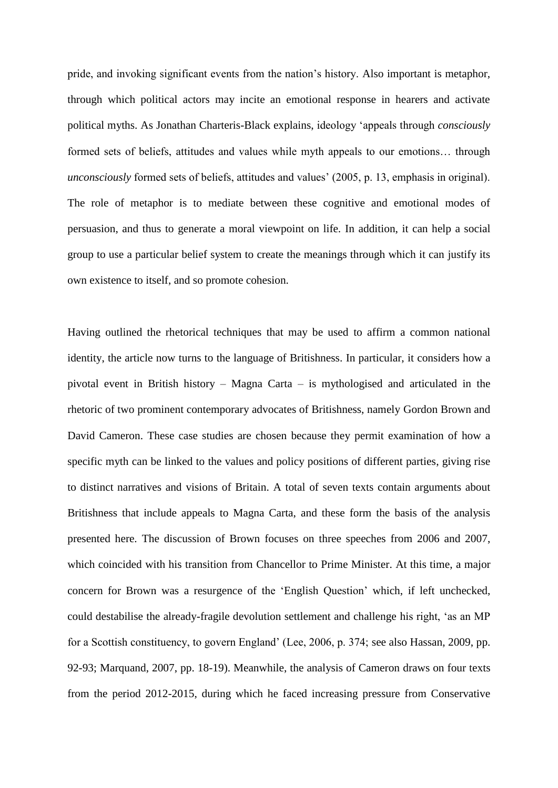pride, and invoking significant events from the nation's history. Also important is metaphor, through which political actors may incite an emotional response in hearers and activate political myths. As Jonathan Charteris-Black explains, ideology 'appeals through *consciously* formed sets of beliefs, attitudes and values while myth appeals to our emotions… through *unconsciously* formed sets of beliefs, attitudes and values' (2005, p. 13, emphasis in original). The role of metaphor is to mediate between these cognitive and emotional modes of persuasion, and thus to generate a moral viewpoint on life. In addition, it can help a social group to use a particular belief system to create the meanings through which it can justify its own existence to itself, and so promote cohesion.

Having outlined the rhetorical techniques that may be used to affirm a common national identity, the article now turns to the language of Britishness. In particular, it considers how a pivotal event in British history – Magna Carta – is mythologised and articulated in the rhetoric of two prominent contemporary advocates of Britishness, namely Gordon Brown and David Cameron. These case studies are chosen because they permit examination of how a specific myth can be linked to the values and policy positions of different parties, giving rise to distinct narratives and visions of Britain. A total of seven texts contain arguments about Britishness that include appeals to Magna Carta, and these form the basis of the analysis presented here. The discussion of Brown focuses on three speeches from 2006 and 2007, which coincided with his transition from Chancellor to Prime Minister. At this time, a major concern for Brown was a resurgence of the 'English Question' which, if left unchecked, could destabilise the already-fragile devolution settlement and challenge his right, 'as an MP for a Scottish constituency, to govern England' (Lee, 2006, p. 374; see also Hassan, 2009, pp. 92-93; Marquand, 2007, pp. 18-19). Meanwhile, the analysis of Cameron draws on four texts from the period 2012-2015, during which he faced increasing pressure from Conservative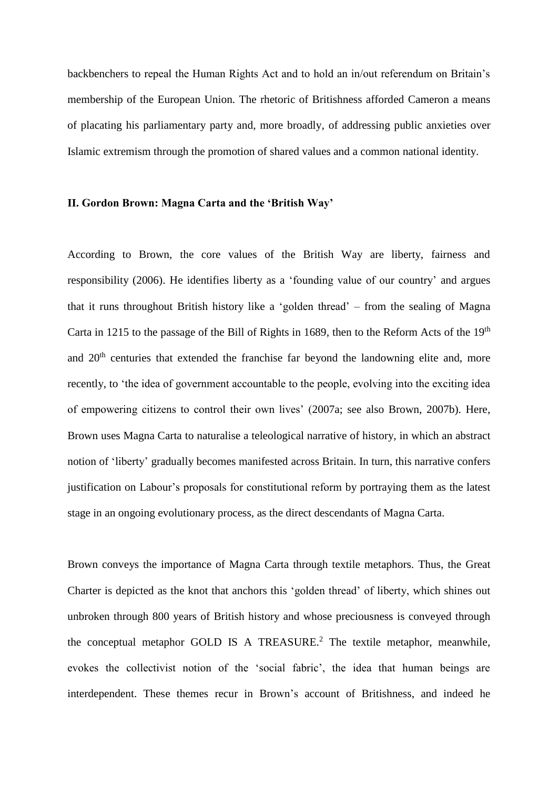backbenchers to repeal the Human Rights Act and to hold an in/out referendum on Britain's membership of the European Union. The rhetoric of Britishness afforded Cameron a means of placating his parliamentary party and, more broadly, of addressing public anxieties over Islamic extremism through the promotion of shared values and a common national identity.

#### **II. Gordon Brown: Magna Carta and the 'British Way'**

According to Brown, the core values of the British Way are liberty, fairness and responsibility (2006). He identifies liberty as a 'founding value of our country' and argues that it runs throughout British history like a 'golden thread' – from the sealing of Magna Carta in 1215 to the passage of the Bill of Rights in 1689, then to the Reform Acts of the 19<sup>th</sup> and 20<sup>th</sup> centuries that extended the franchise far beyond the landowning elite and, more recently, to 'the idea of government accountable to the people, evolving into the exciting idea of empowering citizens to control their own lives' (2007a; see also Brown, 2007b). Here, Brown uses Magna Carta to naturalise a teleological narrative of history, in which an abstract notion of 'liberty' gradually becomes manifested across Britain. In turn, this narrative confers justification on Labour's proposals for constitutional reform by portraying them as the latest stage in an ongoing evolutionary process, as the direct descendants of Magna Carta.

Brown conveys the importance of Magna Carta through textile metaphors. Thus, the Great Charter is depicted as the knot that anchors this 'golden thread' of liberty, which shines out unbroken through 800 years of British history and whose preciousness is conveyed through the conceptual metaphor GOLD IS A TREASURE. <sup>2</sup> The textile metaphor, meanwhile, evokes the collectivist notion of the 'social fabric', the idea that human beings are interdependent. These themes recur in Brown's account of Britishness, and indeed he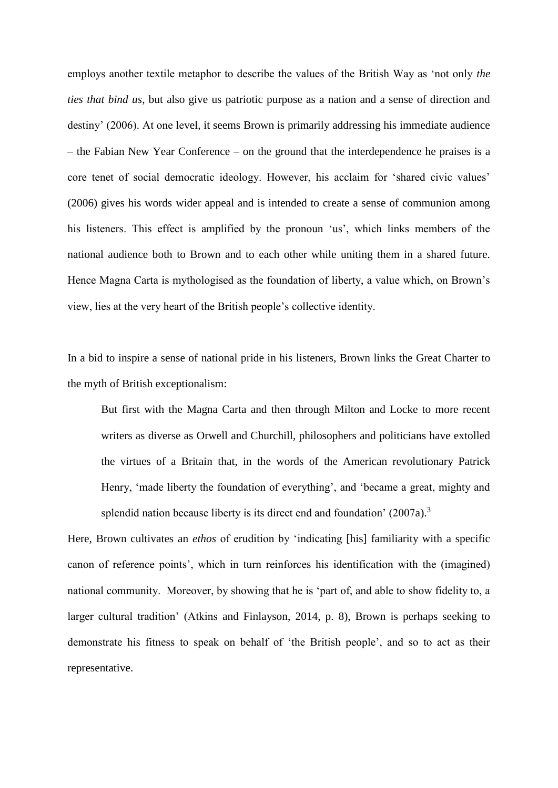employs another textile metaphor to describe the values of the British Way as 'not only *the ties that bind us*, but also give us patriotic purpose as a nation and a sense of direction and destiny' (2006). At one level, it seems Brown is primarily addressing his immediate audience – the Fabian New Year Conference – on the ground that the interdependence he praises is a core tenet of social democratic ideology. However, his acclaim for 'shared civic values' (2006) gives his words wider appeal and is intended to create a sense of communion among his listeners. This effect is amplified by the pronoun 'us', which links members of the national audience both to Brown and to each other while uniting them in a shared future. Hence Magna Carta is mythologised as the foundation of liberty, a value which, on Brown's view, lies at the very heart of the British people's collective identity.

In a bid to inspire a sense of national pride in his listeners, Brown links the Great Charter to the myth of British exceptionalism:

But first with the Magna Carta and then through Milton and Locke to more recent writers as diverse as Orwell and Churchill, philosophers and politicians have extolled the virtues of a Britain that, in the words of the American revolutionary Patrick Henry, 'made liberty the foundation of everything', and 'became a great, mighty and splendid nation because liberty is its direct end and foundation' (2007a).<sup>3</sup>

Here, Brown cultivates an *ethos* of erudition by 'indicating [his] familiarity with a specific canon of reference points', which in turn reinforces his identification with the (imagined) national community. Moreover, by showing that he is 'part of, and able to show fidelity to, a larger cultural tradition' (Atkins and Finlayson, 2014, p. 8), Brown is perhaps seeking to demonstrate his fitness to speak on behalf of 'the British people', and so to act as their representative.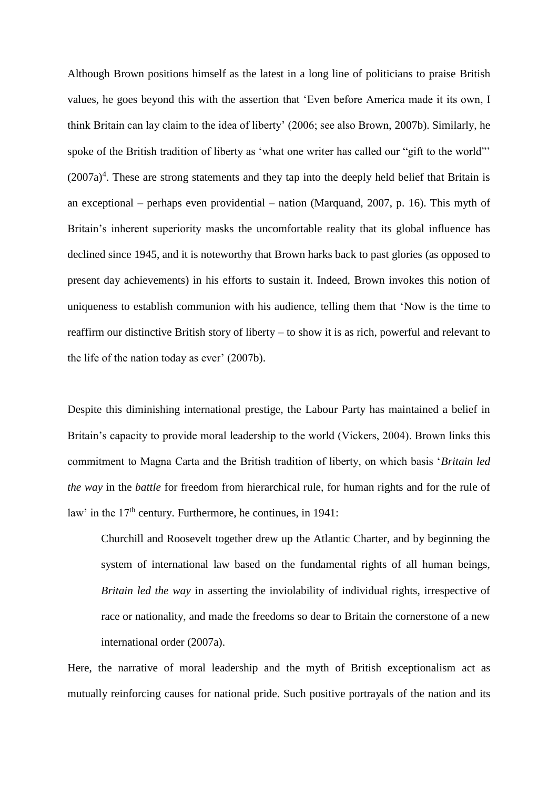Although Brown positions himself as the latest in a long line of politicians to praise British values, he goes beyond this with the assertion that 'Even before America made it its own, I think Britain can lay claim to the idea of liberty' (2006; see also Brown, 2007b). Similarly, he spoke of the British tradition of liberty as 'what one writer has called our "gift to the world"  $(2007a)^4$ . These are strong statements and they tap into the deeply held belief that Britain is an exceptional – perhaps even providential – nation (Marquand, 2007, p. 16). This myth of Britain's inherent superiority masks the uncomfortable reality that its global influence has declined since 1945, and it is noteworthy that Brown harks back to past glories (as opposed to present day achievements) in his efforts to sustain it. Indeed, Brown invokes this notion of uniqueness to establish communion with his audience, telling them that 'Now is the time to reaffirm our distinctive British story of liberty – to show it is as rich, powerful and relevant to the life of the nation today as ever' (2007b).

Despite this diminishing international prestige, the Labour Party has maintained a belief in Britain's capacity to provide moral leadership to the world (Vickers, 2004). Brown links this commitment to Magna Carta and the British tradition of liberty, on which basis '*Britain led the way* in the *battle* for freedom from hierarchical rule, for human rights and for the rule of law' in the  $17<sup>th</sup>$  century. Furthermore, he continues, in 1941:

Churchill and Roosevelt together drew up the Atlantic Charter, and by beginning the system of international law based on the fundamental rights of all human beings, *Britain led the way* in asserting the inviolability of individual rights, irrespective of race or nationality, and made the freedoms so dear to Britain the cornerstone of a new international order (2007a).

Here, the narrative of moral leadership and the myth of British exceptionalism act as mutually reinforcing causes for national pride. Such positive portrayals of the nation and its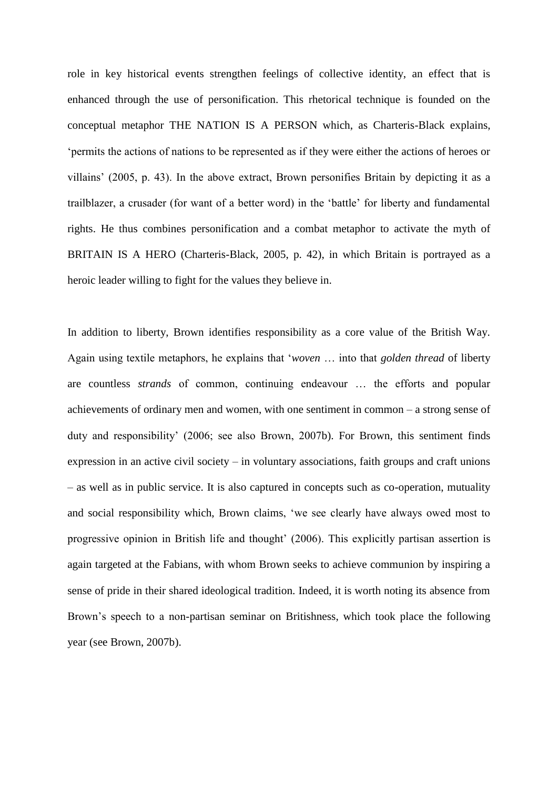role in key historical events strengthen feelings of collective identity, an effect that is enhanced through the use of personification. This rhetorical technique is founded on the conceptual metaphor THE NATION IS A PERSON which, as Charteris-Black explains, 'permits the actions of nations to be represented as if they were either the actions of heroes or villains' (2005, p. 43). In the above extract, Brown personifies Britain by depicting it as a trailblazer, a crusader (for want of a better word) in the 'battle' for liberty and fundamental rights. He thus combines personification and a combat metaphor to activate the myth of BRITAIN IS A HERO (Charteris-Black, 2005, p. 42), in which Britain is portrayed as a heroic leader willing to fight for the values they believe in.

In addition to liberty, Brown identifies responsibility as a core value of the British Way. Again using textile metaphors, he explains that '*woven* … into that *golden thread* of liberty are countless *strands* of common, continuing endeavour … the efforts and popular achievements of ordinary men and women, with one sentiment in common – a strong sense of duty and responsibility' (2006; see also Brown, 2007b). For Brown, this sentiment finds expression in an active civil society – in voluntary associations, faith groups and craft unions – as well as in public service. It is also captured in concepts such as co-operation, mutuality and social responsibility which, Brown claims, 'we see clearly have always owed most to progressive opinion in British life and thought' (2006). This explicitly partisan assertion is again targeted at the Fabians, with whom Brown seeks to achieve communion by inspiring a sense of pride in their shared ideological tradition. Indeed, it is worth noting its absence from Brown's speech to a non-partisan seminar on Britishness, which took place the following year (see Brown, 2007b).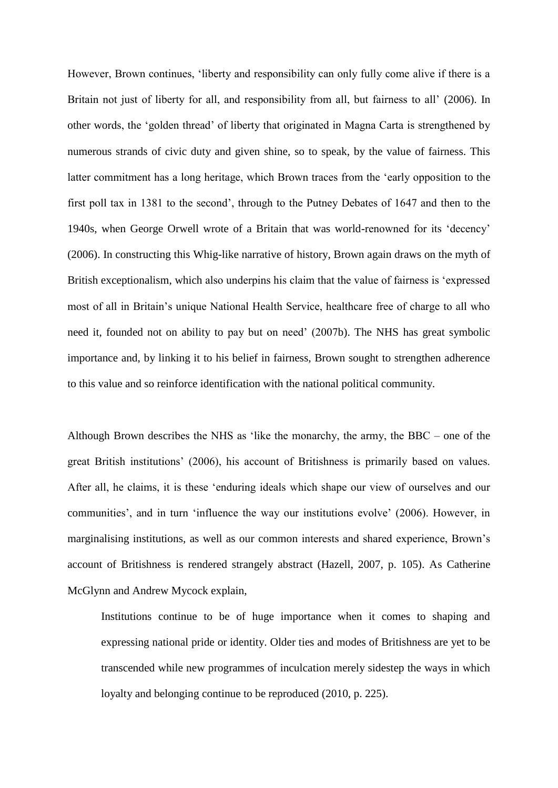However, Brown continues, 'liberty and responsibility can only fully come alive if there is a Britain not just of liberty for all, and responsibility from all, but fairness to all' (2006). In other words, the 'golden thread' of liberty that originated in Magna Carta is strengthened by numerous strands of civic duty and given shine, so to speak, by the value of fairness. This latter commitment has a long heritage, which Brown traces from the 'early opposition to the first poll tax in 1381 to the second', through to the Putney Debates of 1647 and then to the 1940s, when George Orwell wrote of a Britain that was world-renowned for its 'decency' (2006). In constructing this Whig-like narrative of history, Brown again draws on the myth of British exceptionalism, which also underpins his claim that the value of fairness is 'expressed most of all in Britain's unique National Health Service, healthcare free of charge to all who need it, founded not on ability to pay but on need' (2007b). The NHS has great symbolic importance and, by linking it to his belief in fairness, Brown sought to strengthen adherence to this value and so reinforce identification with the national political community.

Although Brown describes the NHS as 'like the monarchy, the army, the BBC – one of the great British institutions' (2006), his account of Britishness is primarily based on values. After all, he claims, it is these 'enduring ideals which shape our view of ourselves and our communities', and in turn 'influence the way our institutions evolve' (2006). However, in marginalising institutions, as well as our common interests and shared experience, Brown's account of Britishness is rendered strangely abstract (Hazell, 2007, p. 105). As Catherine McGlynn and Andrew Mycock explain,

Institutions continue to be of huge importance when it comes to shaping and expressing national pride or identity. Older ties and modes of Britishness are yet to be transcended while new programmes of inculcation merely sidestep the ways in which loyalty and belonging continue to be reproduced (2010, p. 225).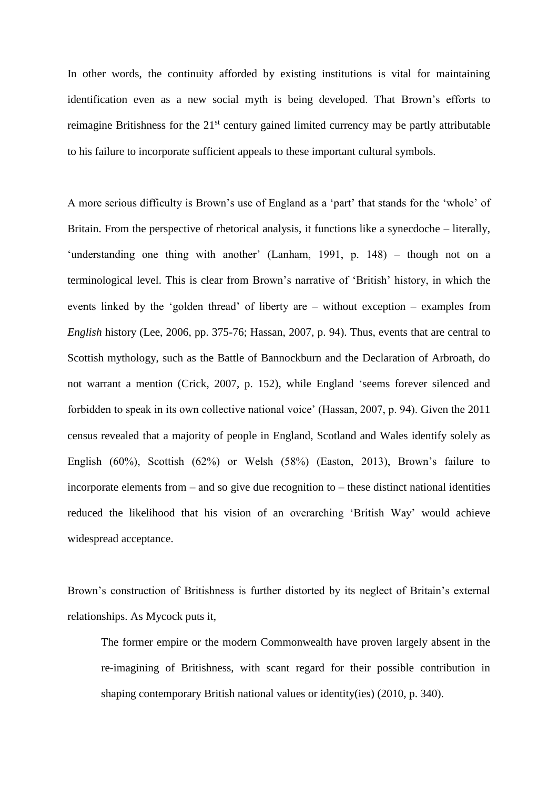In other words, the continuity afforded by existing institutions is vital for maintaining identification even as a new social myth is being developed. That Brown's efforts to reimagine Britishness for the 21<sup>st</sup> century gained limited currency may be partly attributable to his failure to incorporate sufficient appeals to these important cultural symbols.

A more serious difficulty is Brown's use of England as a 'part' that stands for the 'whole' of Britain. From the perspective of rhetorical analysis, it functions like a synecdoche – literally, 'understanding one thing with another' (Lanham, 1991, p. 148) – though not on a terminological level. This is clear from Brown's narrative of 'British' history, in which the events linked by the 'golden thread' of liberty are – without exception – examples from *English* history (Lee, 2006, pp. 375-76; Hassan, 2007, p. 94). Thus, events that are central to Scottish mythology, such as the Battle of Bannockburn and the Declaration of Arbroath, do not warrant a mention (Crick, 2007, p. 152), while England 'seems forever silenced and forbidden to speak in its own collective national voice' (Hassan, 2007, p. 94). Given the 2011 census revealed that a majority of people in England, Scotland and Wales identify solely as English (60%), Scottish (62%) or Welsh (58%) (Easton, 2013), Brown's failure to incorporate elements from – and so give due recognition to – these distinct national identities reduced the likelihood that his vision of an overarching 'British Way' would achieve widespread acceptance.

Brown's construction of Britishness is further distorted by its neglect of Britain's external relationships. As Mycock puts it,

The former empire or the modern Commonwealth have proven largely absent in the re-imagining of Britishness, with scant regard for their possible contribution in shaping contemporary British national values or identity(ies) (2010, p. 340).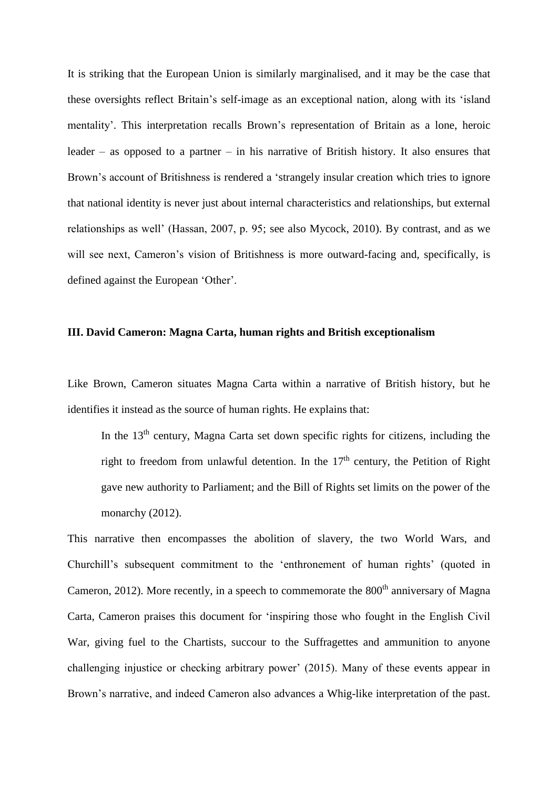It is striking that the European Union is similarly marginalised, and it may be the case that these oversights reflect Britain's self-image as an exceptional nation, along with its 'island mentality'. This interpretation recalls Brown's representation of Britain as a lone, heroic leader – as opposed to a partner – in his narrative of British history. It also ensures that Brown's account of Britishness is rendered a 'strangely insular creation which tries to ignore that national identity is never just about internal characteristics and relationships, but external relationships as well' (Hassan, 2007, p. 95; see also Mycock, 2010). By contrast, and as we will see next, Cameron's vision of Britishness is more outward-facing and, specifically, is defined against the European 'Other'.

#### **III. David Cameron: Magna Carta, human rights and British exceptionalism**

Like Brown, Cameron situates Magna Carta within a narrative of British history, but he identifies it instead as the source of human rights. He explains that:

In the 13<sup>th</sup> century, Magna Carta set down specific rights for citizens, including the right to freedom from unlawful detention. In the  $17<sup>th</sup>$  century, the Petition of Right gave new authority to Parliament; and the Bill of Rights set limits on the power of the monarchy (2012).

This narrative then encompasses the abolition of slavery, the two World Wars, and Churchill's subsequent commitment to the 'enthronement of human rights' (quoted in Cameron, 2012). More recently, in a speech to commemorate the  $800<sup>th</sup>$  anniversary of Magna Carta, Cameron praises this document for 'inspiring those who fought in the English Civil War, giving fuel to the Chartists, succour to the Suffragettes and ammunition to anyone challenging injustice or checking arbitrary power' (2015). Many of these events appear in Brown's narrative, and indeed Cameron also advances a Whig-like interpretation of the past.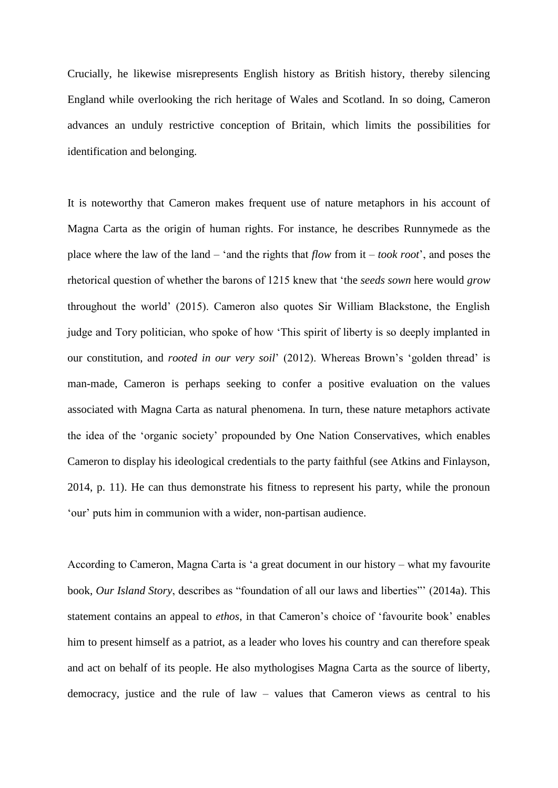Crucially, he likewise misrepresents English history as British history, thereby silencing England while overlooking the rich heritage of Wales and Scotland. In so doing, Cameron advances an unduly restrictive conception of Britain, which limits the possibilities for identification and belonging.

It is noteworthy that Cameron makes frequent use of nature metaphors in his account of Magna Carta as the origin of human rights. For instance, he describes Runnymede as the place where the law of the land – 'and the rights that *flow* from it – *took root*', and poses the rhetorical question of whether the barons of 1215 knew that 'the *seeds sown* here would *grow* throughout the world' (2015). Cameron also quotes Sir William Blackstone, the English judge and Tory politician, who spoke of how 'This spirit of liberty is so deeply implanted in our constitution, and *rooted in our very soil*' (2012). Whereas Brown's 'golden thread' is man-made, Cameron is perhaps seeking to confer a positive evaluation on the values associated with Magna Carta as natural phenomena. In turn, these nature metaphors activate the idea of the 'organic society' propounded by One Nation Conservatives, which enables Cameron to display his ideological credentials to the party faithful (see Atkins and Finlayson, 2014, p. 11). He can thus demonstrate his fitness to represent his party, while the pronoun 'our' puts him in communion with a wider, non-partisan audience.

According to Cameron, Magna Carta is 'a great document in our history – what my favourite book, *Our Island Story*, describes as "foundation of all our laws and liberties"' (2014a). This statement contains an appeal to *ethos*, in that Cameron's choice of 'favourite book' enables him to present himself as a patriot, as a leader who loves his country and can therefore speak and act on behalf of its people. He also mythologises Magna Carta as the source of liberty, democracy, justice and the rule of law – values that Cameron views as central to his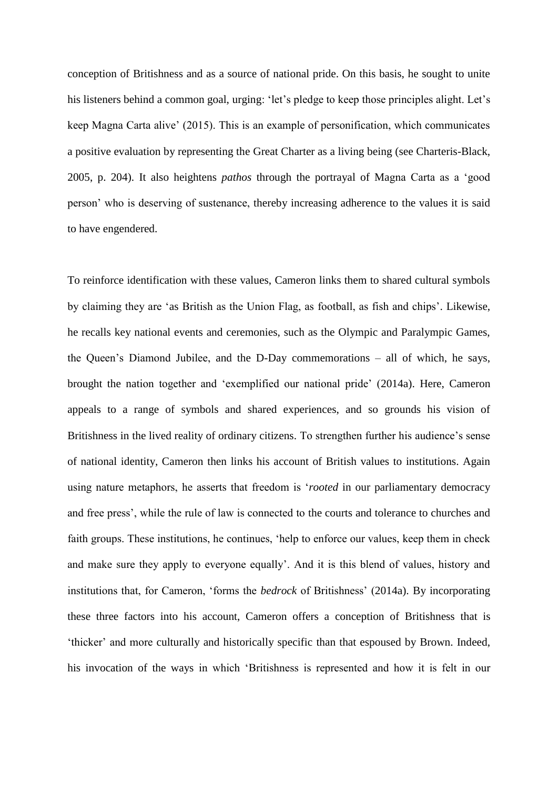conception of Britishness and as a source of national pride. On this basis, he sought to unite his listeners behind a common goal, urging: 'let's pledge to keep those principles alight. Let's keep Magna Carta alive' (2015). This is an example of personification, which communicates a positive evaluation by representing the Great Charter as a living being (see Charteris-Black, 2005, p. 204). It also heightens *pathos* through the portrayal of Magna Carta as a 'good person' who is deserving of sustenance, thereby increasing adherence to the values it is said to have engendered.

To reinforce identification with these values, Cameron links them to shared cultural symbols by claiming they are 'as British as the Union Flag, as football, as fish and chips'. Likewise, he recalls key national events and ceremonies, such as the Olympic and Paralympic Games, the Queen's Diamond Jubilee, and the D-Day commemorations – all of which, he says, brought the nation together and 'exemplified our national pride' (2014a). Here, Cameron appeals to a range of symbols and shared experiences, and so grounds his vision of Britishness in the lived reality of ordinary citizens. To strengthen further his audience's sense of national identity, Cameron then links his account of British values to institutions. Again using nature metaphors, he asserts that freedom is '*rooted* in our parliamentary democracy and free press', while the rule of law is connected to the courts and tolerance to churches and faith groups. These institutions, he continues, 'help to enforce our values, keep them in check and make sure they apply to everyone equally'. And it is this blend of values, history and institutions that, for Cameron, 'forms the *bedrock* of Britishness' (2014a). By incorporating these three factors into his account, Cameron offers a conception of Britishness that is 'thicker' and more culturally and historically specific than that espoused by Brown. Indeed, his invocation of the ways in which 'Britishness is represented and how it is felt in our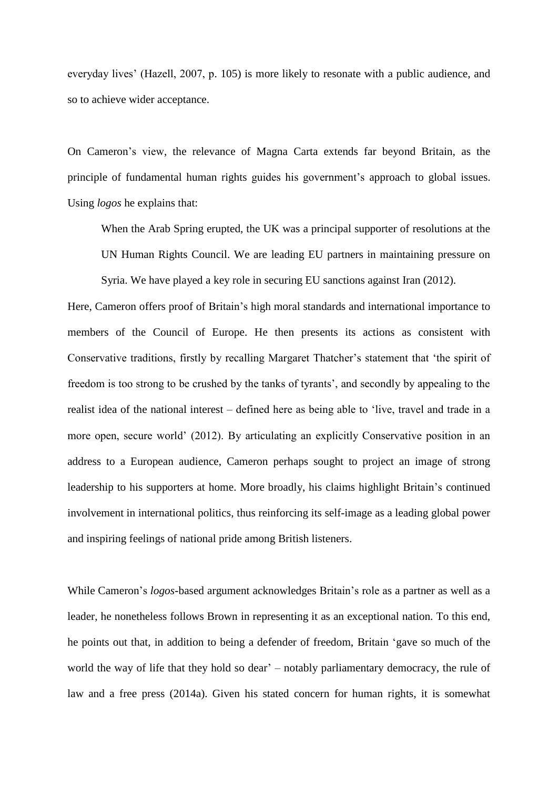everyday lives' (Hazell, 2007, p. 105) is more likely to resonate with a public audience, and so to achieve wider acceptance.

On Cameron's view, the relevance of Magna Carta extends far beyond Britain, as the principle of fundamental human rights guides his government's approach to global issues. Using *logos* he explains that:

When the Arab Spring erupted, the UK was a principal supporter of resolutions at the UN Human Rights Council. We are leading EU partners in maintaining pressure on Syria. We have played a key role in securing EU sanctions against Iran (2012).

Here, Cameron offers proof of Britain's high moral standards and international importance to members of the Council of Europe. He then presents its actions as consistent with Conservative traditions, firstly by recalling Margaret Thatcher's statement that 'the spirit of freedom is too strong to be crushed by the tanks of tyrants', and secondly by appealing to the realist idea of the national interest – defined here as being able to 'live, travel and trade in a more open, secure world' (2012). By articulating an explicitly Conservative position in an address to a European audience, Cameron perhaps sought to project an image of strong leadership to his supporters at home. More broadly, his claims highlight Britain's continued involvement in international politics, thus reinforcing its self-image as a leading global power and inspiring feelings of national pride among British listeners.

While Cameron's *logos*-based argument acknowledges Britain's role as a partner as well as a leader, he nonetheless follows Brown in representing it as an exceptional nation. To this end, he points out that, in addition to being a defender of freedom, Britain 'gave so much of the world the way of life that they hold so dear' – notably parliamentary democracy, the rule of law and a free press (2014a). Given his stated concern for human rights, it is somewhat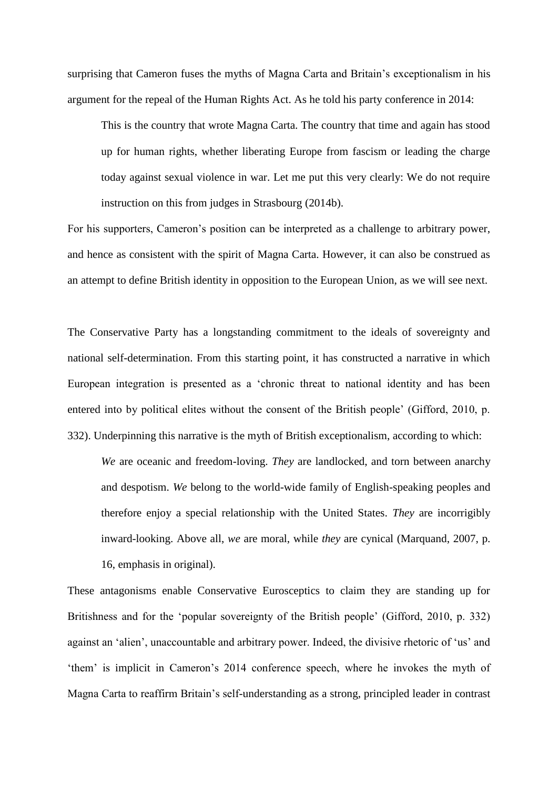surprising that Cameron fuses the myths of Magna Carta and Britain's exceptionalism in his argument for the repeal of the Human Rights Act. As he told his party conference in 2014:

This is the country that wrote Magna Carta. The country that time and again has stood up for human rights, whether liberating Europe from fascism or leading the charge today against sexual violence in war. Let me put this very clearly: We do not require instruction on this from judges in Strasbourg (2014b).

For his supporters, Cameron's position can be interpreted as a challenge to arbitrary power, and hence as consistent with the spirit of Magna Carta. However, it can also be construed as an attempt to define British identity in opposition to the European Union, as we will see next.

The Conservative Party has a longstanding commitment to the ideals of sovereignty and national self-determination. From this starting point, it has constructed a narrative in which European integration is presented as a 'chronic threat to national identity and has been entered into by political elites without the consent of the British people' (Gifford, 2010, p. 332). Underpinning this narrative is the myth of British exceptionalism, according to which:

*We* are oceanic and freedom-loving. *They* are landlocked, and torn between anarchy and despotism. *We* belong to the world-wide family of English-speaking peoples and therefore enjoy a special relationship with the United States. *They* are incorrigibly inward-looking. Above all, *we* are moral, while *they* are cynical (Marquand, 2007, p. 16, emphasis in original).

These antagonisms enable Conservative Eurosceptics to claim they are standing up for Britishness and for the 'popular sovereignty of the British people' (Gifford, 2010, p. 332) against an 'alien', unaccountable and arbitrary power. Indeed, the divisive rhetoric of 'us' and 'them' is implicit in Cameron's 2014 conference speech, where he invokes the myth of Magna Carta to reaffirm Britain's self-understanding as a strong, principled leader in contrast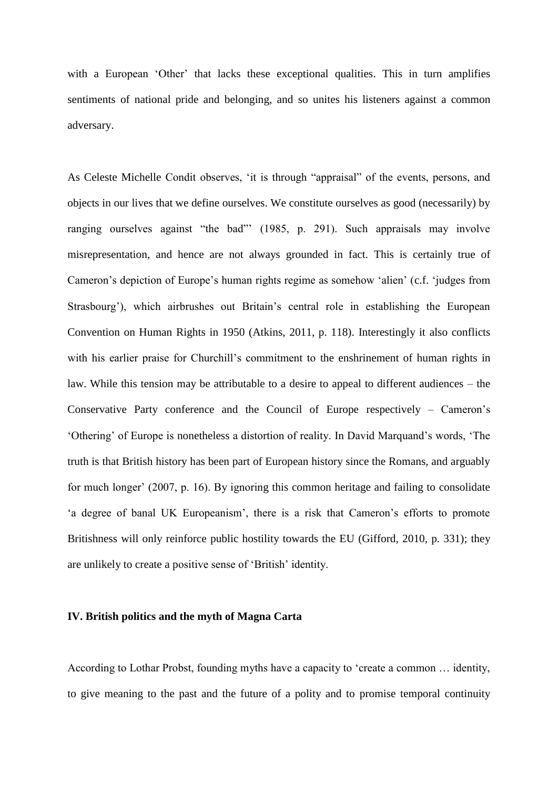with a European 'Other' that lacks these exceptional qualities. This in turn amplifies sentiments of national pride and belonging, and so unites his listeners against a common adversary.

As Celeste Michelle Condit observes, 'it is through "appraisal" of the events, persons, and objects in our lives that we define ourselves. We constitute ourselves as good (necessarily) by ranging ourselves against "the bad"' (1985, p. 291). Such appraisals may involve misrepresentation, and hence are not always grounded in fact. This is certainly true of Cameron's depiction of Europe's human rights regime as somehow 'alien' (c.f. 'judges from Strasbourg'), which airbrushes out Britain's central role in establishing the European Convention on Human Rights in 1950 (Atkins, 2011, p. 118). Interestingly it also conflicts with his earlier praise for Churchill's commitment to the enshrinement of human rights in law. While this tension may be attributable to a desire to appeal to different audiences – the Conservative Party conference and the Council of Europe respectively – Cameron's 'Othering' of Europe is nonetheless a distortion of reality. In David Marquand's words, 'The truth is that British history has been part of European history since the Romans, and arguably for much longer' (2007, p. 16). By ignoring this common heritage and failing to consolidate 'a degree of banal UK Europeanism', there is a risk that Cameron's efforts to promote Britishness will only reinforce public hostility towards the EU (Gifford, 2010, p. 331); they are unlikely to create a positive sense of 'British' identity.

#### **IV. British politics and the myth of Magna Carta**

According to Lothar Probst, founding myths have a capacity to 'create a common … identity, to give meaning to the past and the future of a polity and to promise temporal continuity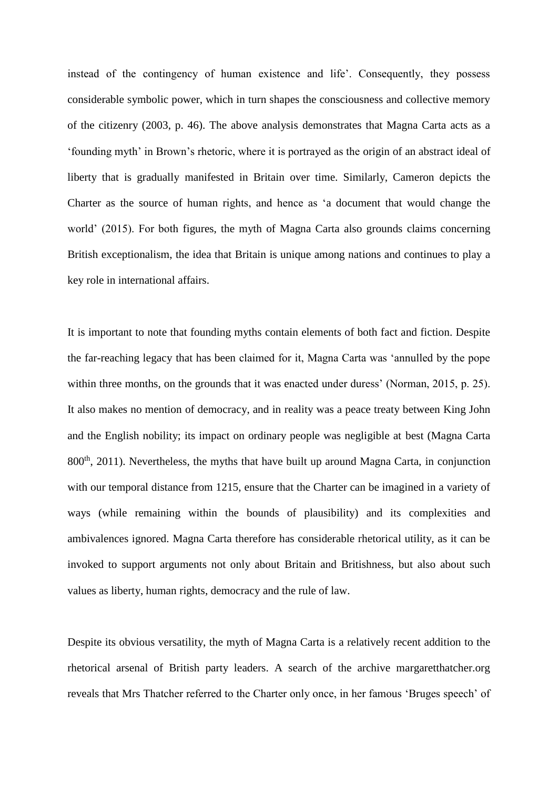instead of the contingency of human existence and life'. Consequently, they possess considerable symbolic power, which in turn shapes the consciousness and collective memory of the citizenry (2003, p. 46). The above analysis demonstrates that Magna Carta acts as a 'founding myth' in Brown's rhetoric, where it is portrayed as the origin of an abstract ideal of liberty that is gradually manifested in Britain over time. Similarly, Cameron depicts the Charter as the source of human rights, and hence as 'a document that would change the world' (2015). For both figures, the myth of Magna Carta also grounds claims concerning British exceptionalism, the idea that Britain is unique among nations and continues to play a key role in international affairs.

It is important to note that founding myths contain elements of both fact and fiction. Despite the far-reaching legacy that has been claimed for it, Magna Carta was 'annulled by the pope within three months, on the grounds that it was enacted under duress' (Norman, 2015, p. 25). It also makes no mention of democracy, and in reality was a peace treaty between King John and the English nobility; its impact on ordinary people was negligible at best (Magna Carta  $800<sup>th</sup>$ , 2011). Nevertheless, the myths that have built up around Magna Carta, in conjunction with our temporal distance from 1215, ensure that the Charter can be imagined in a variety of ways (while remaining within the bounds of plausibility) and its complexities and ambivalences ignored. Magna Carta therefore has considerable rhetorical utility, as it can be invoked to support arguments not only about Britain and Britishness, but also about such values as liberty, human rights, democracy and the rule of law.

Despite its obvious versatility, the myth of Magna Carta is a relatively recent addition to the rhetorical arsenal of British party leaders. A search of the archive margaretthatcher.org reveals that Mrs Thatcher referred to the Charter only once, in her famous 'Bruges speech' of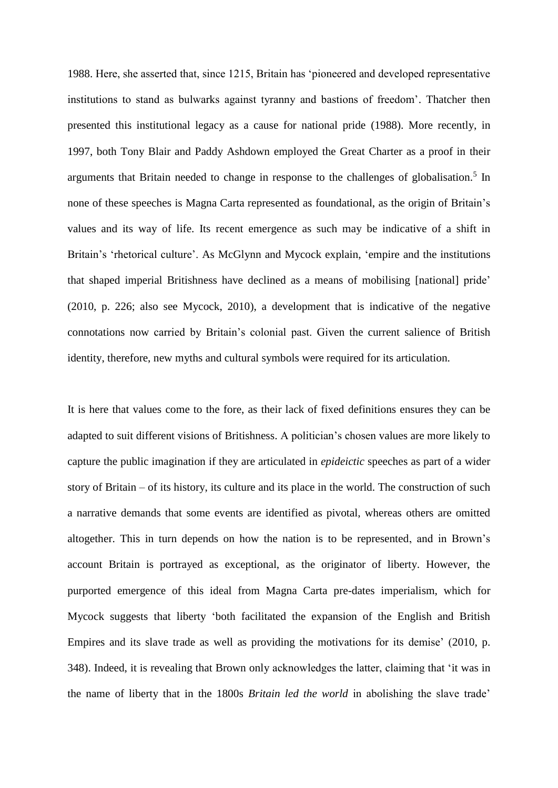1988. Here, she asserted that, since 1215, Britain has 'pioneered and developed representative institutions to stand as bulwarks against tyranny and bastions of freedom'. Thatcher then presented this institutional legacy as a cause for national pride (1988). More recently, in 1997, both Tony Blair and Paddy Ashdown employed the Great Charter as a proof in their arguments that Britain needed to change in response to the challenges of globalisation.<sup>5</sup> In none of these speeches is Magna Carta represented as foundational, as the origin of Britain's values and its way of life. Its recent emergence as such may be indicative of a shift in Britain's 'rhetorical culture'. As McGlynn and Mycock explain, 'empire and the institutions that shaped imperial Britishness have declined as a means of mobilising [national] pride' (2010, p. 226; also see Mycock, 2010), a development that is indicative of the negative connotations now carried by Britain's colonial past. Given the current salience of British identity, therefore, new myths and cultural symbols were required for its articulation.

It is here that values come to the fore, as their lack of fixed definitions ensures they can be adapted to suit different visions of Britishness. A politician's chosen values are more likely to capture the public imagination if they are articulated in *epideictic* speeches as part of a wider story of Britain – of its history, its culture and its place in the world. The construction of such a narrative demands that some events are identified as pivotal, whereas others are omitted altogether. This in turn depends on how the nation is to be represented, and in Brown's account Britain is portrayed as exceptional, as the originator of liberty. However, the purported emergence of this ideal from Magna Carta pre-dates imperialism, which for Mycock suggests that liberty 'both facilitated the expansion of the English and British Empires and its slave trade as well as providing the motivations for its demise' (2010, p. 348). Indeed, it is revealing that Brown only acknowledges the latter, claiming that 'it was in the name of liberty that in the 1800s *Britain led the world* in abolishing the slave trade'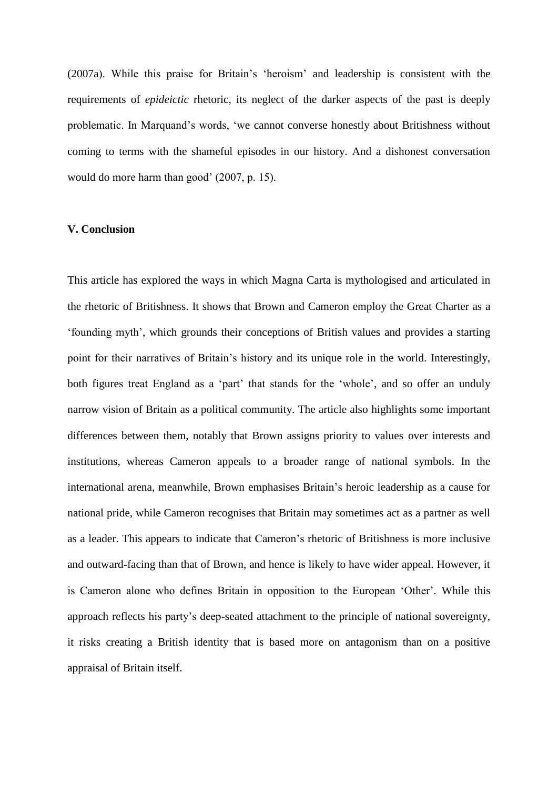(2007a). While this praise for Britain's 'heroism' and leadership is consistent with the requirements of *epideictic* rhetoric, its neglect of the darker aspects of the past is deeply problematic. In Marquand's words, 'we cannot converse honestly about Britishness without coming to terms with the shameful episodes in our history. And a dishonest conversation would do more harm than good' (2007, p. 15).

#### **V. Conclusion**

This article has explored the ways in which Magna Carta is mythologised and articulated in the rhetoric of Britishness. It shows that Brown and Cameron employ the Great Charter as a 'founding myth', which grounds their conceptions of British values and provides a starting point for their narratives of Britain's history and its unique role in the world. Interestingly, both figures treat England as a 'part' that stands for the 'whole', and so offer an unduly narrow vision of Britain as a political community. The article also highlights some important differences between them, notably that Brown assigns priority to values over interests and institutions, whereas Cameron appeals to a broader range of national symbols. In the international arena, meanwhile, Brown emphasises Britain's heroic leadership as a cause for national pride, while Cameron recognises that Britain may sometimes act as a partner as well as a leader. This appears to indicate that Cameron's rhetoric of Britishness is more inclusive and outward-facing than that of Brown, and hence is likely to have wider appeal. However, it is Cameron alone who defines Britain in opposition to the European 'Other'. While this approach reflects his party's deep-seated attachment to the principle of national sovereignty, it risks creating a British identity that is based more on antagonism than on a positive appraisal of Britain itself.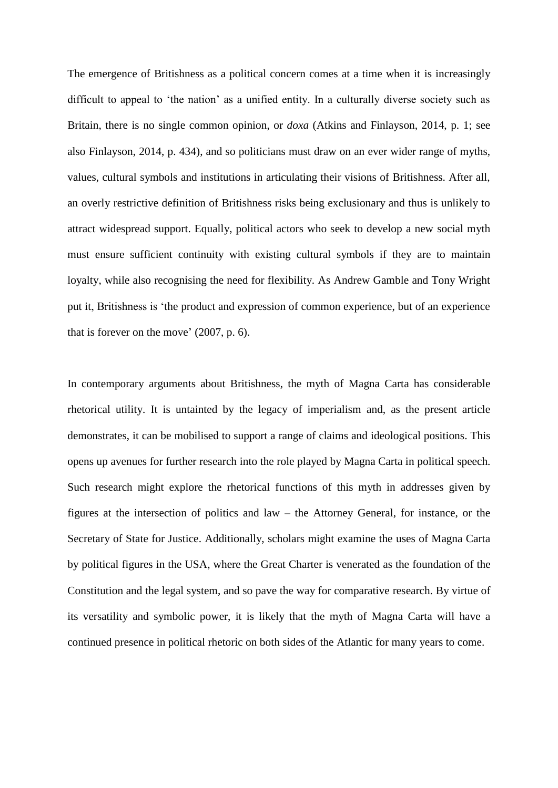The emergence of Britishness as a political concern comes at a time when it is increasingly difficult to appeal to 'the nation' as a unified entity. In a culturally diverse society such as Britain, there is no single common opinion, or *doxa* (Atkins and Finlayson, 2014, p. 1; see also Finlayson, 2014, p. 434), and so politicians must draw on an ever wider range of myths, values, cultural symbols and institutions in articulating their visions of Britishness. After all, an overly restrictive definition of Britishness risks being exclusionary and thus is unlikely to attract widespread support. Equally, political actors who seek to develop a new social myth must ensure sufficient continuity with existing cultural symbols if they are to maintain loyalty, while also recognising the need for flexibility. As Andrew Gamble and Tony Wright put it, Britishness is 'the product and expression of common experience, but of an experience that is forever on the move' (2007, p. 6).

In contemporary arguments about Britishness, the myth of Magna Carta has considerable rhetorical utility. It is untainted by the legacy of imperialism and, as the present article demonstrates, it can be mobilised to support a range of claims and ideological positions. This opens up avenues for further research into the role played by Magna Carta in political speech. Such research might explore the rhetorical functions of this myth in addresses given by figures at the intersection of politics and law – the Attorney General, for instance, or the Secretary of State for Justice. Additionally, scholars might examine the uses of Magna Carta by political figures in the USA, where the Great Charter is venerated as the foundation of the Constitution and the legal system, and so pave the way for comparative research. By virtue of its versatility and symbolic power, it is likely that the myth of Magna Carta will have a continued presence in political rhetoric on both sides of the Atlantic for many years to come.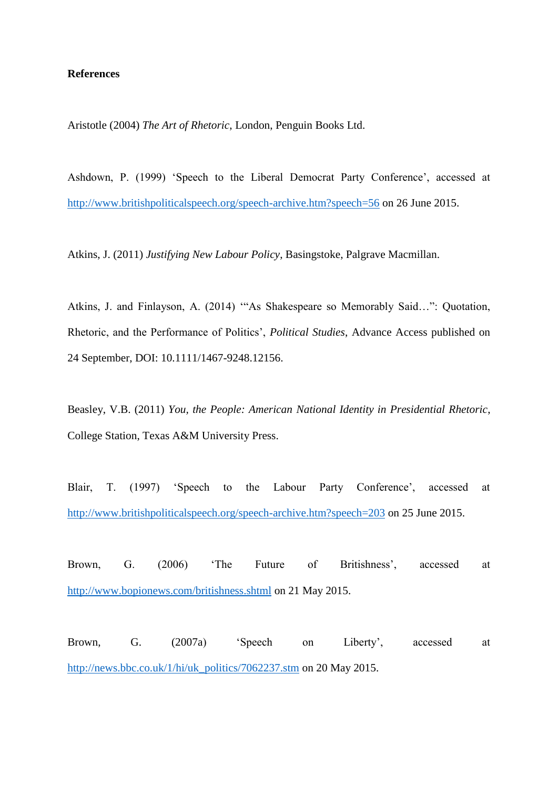#### **References**

Aristotle (2004) *The Art of Rhetoric*, London, Penguin Books Ltd.

Ashdown, P. (1999) 'Speech to the Liberal Democrat Party Conference', accessed at <http://www.britishpoliticalspeech.org/speech-archive.htm?speech=56> on 26 June 2015.

Atkins, J. (2011) *Justifying New Labour Policy*, Basingstoke, Palgrave Macmillan.

Atkins, J. and Finlayson, A. (2014) '"As Shakespeare so Memorably Said…": Quotation, Rhetoric, and the Performance of Politics', *Political Studies*, Advance Access published on 24 September, DOI: 10.1111/1467-9248.12156.

Beasley, V.B. (2011) *You, the People: American National Identity in Presidential Rhetoric*, College Station, Texas A&M University Press.

Blair, T. (1997) 'Speech to the Labour Party Conference', accessed at <http://www.britishpoliticalspeech.org/speech-archive.htm?speech=203> on 25 June 2015.

Brown, G. (2006) 'The Future of Britishness', accessed at <http://www.bopionews.com/britishness.shtml> on 21 May 2015.

Brown, G. (2007a) 'Speech on Liberty', accessed at [http://news.bbc.co.uk/1/hi/uk\\_politics/7062237.stm](http://news.bbc.co.uk/1/hi/uk_politics/7062237.stm) on 20 May 2015.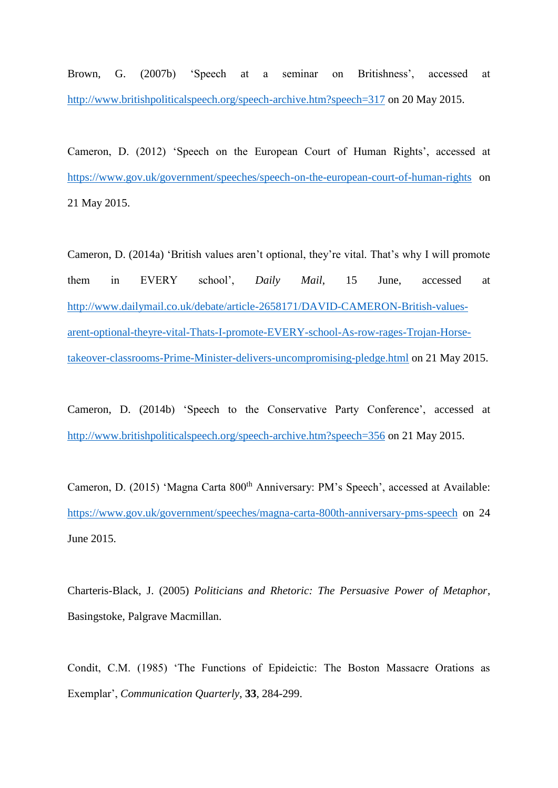Brown, G. (2007b) 'Speech at a seminar on Britishness', accessed at <http://www.britishpoliticalspeech.org/speech-archive.htm?speech=317> on 20 May 2015.

Cameron, D. (2012) 'Speech on the European Court of Human Rights', accessed at <https://www.gov.uk/government/speeches/speech-on-the-european-court-of-human-rights> on 21 May 2015.

Cameron, D. (2014a) 'British values aren't optional, they're vital. That's why I will promote them in EVERY school', *Daily Mail*, 15 June, accessed at [http://www.dailymail.co.uk/debate/article-2658171/DAVID-CAMERON-British-values](http://www.dailymail.co.uk/debate/article-2658171/DAVID-CAMERON-British-values-arent-optional-theyre-vital-Thats-I-promote-EVERY-school-As-row-rages-Trojan-Horse-takeover-classrooms-Prime-Minister-delivers-uncompromising-pledge.html)[arent-optional-theyre-vital-Thats-I-promote-EVERY-school-As-row-rages-Trojan-Horse](http://www.dailymail.co.uk/debate/article-2658171/DAVID-CAMERON-British-values-arent-optional-theyre-vital-Thats-I-promote-EVERY-school-As-row-rages-Trojan-Horse-takeover-classrooms-Prime-Minister-delivers-uncompromising-pledge.html)[takeover-classrooms-Prime-Minister-delivers-uncompromising-pledge.html](http://www.dailymail.co.uk/debate/article-2658171/DAVID-CAMERON-British-values-arent-optional-theyre-vital-Thats-I-promote-EVERY-school-As-row-rages-Trojan-Horse-takeover-classrooms-Prime-Minister-delivers-uncompromising-pledge.html) on 21 May 2015.

Cameron, D. (2014b) 'Speech to the Conservative Party Conference', accessed at <http://www.britishpoliticalspeech.org/speech-archive.htm?speech=356> on 21 May 2015.

Cameron, D. (2015) 'Magna Carta 800<sup>th</sup> Anniversary: PM's Speech', accessed at Available: <https://www.gov.uk/government/speeches/magna-carta-800th-anniversary-pms-speech> on 24 June 2015.

Charteris-Black, J. (2005) *Politicians and Rhetoric: The Persuasive Power of Metaphor*, Basingstoke, Palgrave Macmillan.

Condit, C.M. (1985) 'The Functions of Epideictic: The Boston Massacre Orations as Exemplar', *Communication Quarterly*, **33**, 284-299.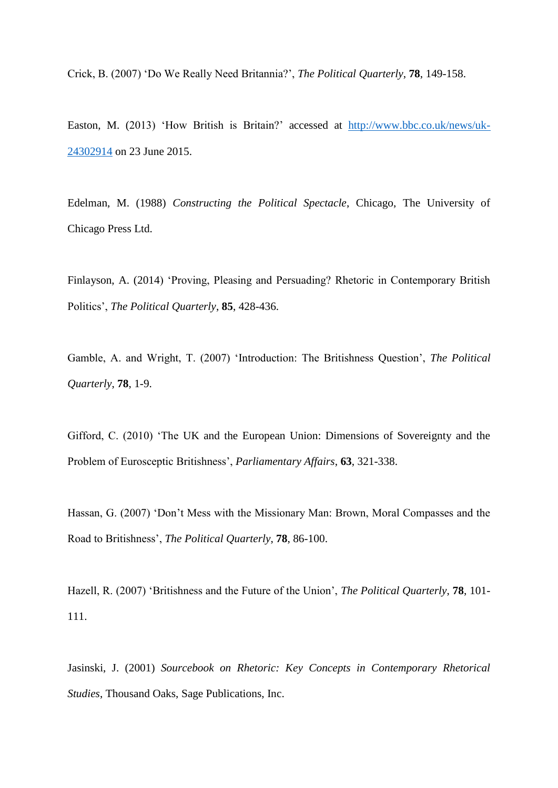Crick, B. (2007) 'Do We Really Need Britannia?', *The Political Quarterly*, **78**, 149-158.

Easton, M. (2013) 'How British is Britain?' accessed at [http://www.bbc.co.uk/news/uk-](http://www.bbc.co.uk/news/uk-24302914)[24302914](http://www.bbc.co.uk/news/uk-24302914) on 23 June 2015.

Edelman, M. (1988) *Constructing the Political Spectacle*, Chicago, The University of Chicago Press Ltd.

Finlayson, A. (2014) 'Proving, Pleasing and Persuading? Rhetoric in Contemporary British Politics', *The Political Quarterly*, **85**, 428-436.

Gamble, A. and Wright, T. (2007) 'Introduction: The Britishness Question', *The Political Quarterly*, **78**, 1-9.

Gifford, C. (2010) 'The UK and the European Union: Dimensions of Sovereignty and the Problem of Eurosceptic Britishness', *Parliamentary Affairs*, **63**, 321-338.

Hassan, G. (2007) 'Don't Mess with the Missionary Man: Brown, Moral Compasses and the Road to Britishness', *The Political Quarterly*, **78**, 86-100.

Hazell, R. (2007) 'Britishness and the Future of the Union', *The Political Quarterly*, **78**, 101- 111.

Jasinski, J. (2001) *Sourcebook on Rhetoric: Key Concepts in Contemporary Rhetorical Studies*, Thousand Oaks, Sage Publications, Inc.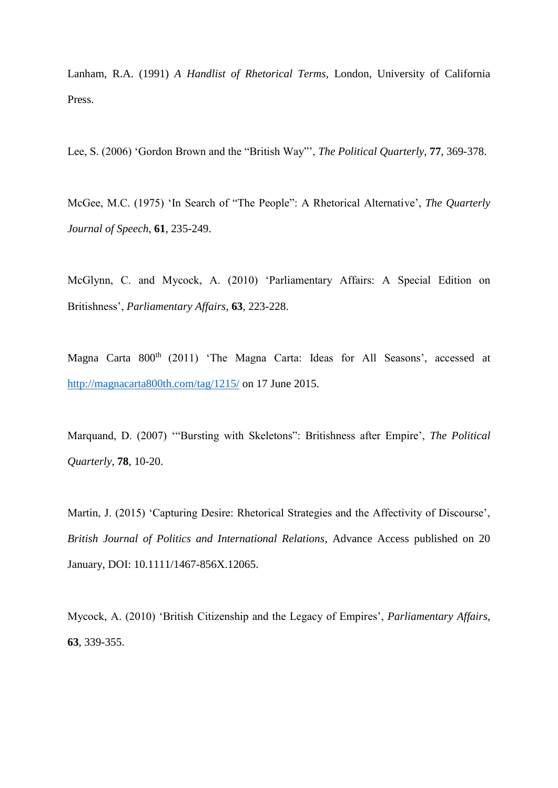Lanham, R.A. (1991) *A Handlist of Rhetorical Terms*, London, University of California Press.

Lee, S. (2006) 'Gordon Brown and the "British Way"', *The Political Quarterly*, **77**, 369-378.

McGee, M.C. (1975) 'In Search of "The People": A Rhetorical Alternative', *The Quarterly Journal of Speech*, **61**, 235-249.

McGlynn, C. and Mycock, A. (2010) 'Parliamentary Affairs: A Special Edition on Britishness', *Parliamentary Affairs*, **63**, 223-228.

Magna Carta 800<sup>th</sup> (2011) 'The Magna Carta: Ideas for All Seasons', accessed at <http://magnacarta800th.com/tag/1215/> on 17 June 2015.

Marquand, D. (2007) '"Bursting with Skeletons": Britishness after Empire', *The Political Quarterly*, **78**, 10-20.

Martin, J. (2015) 'Capturing Desire: Rhetorical Strategies and the Affectivity of Discourse', *British Journal of Politics and International Relations*, Advance Access published on 20 January, DOI: 10.1111/1467-856X.12065.

Mycock, A. (2010) 'British Citizenship and the Legacy of Empires', *Parliamentary Affairs*, **63**, 339-355.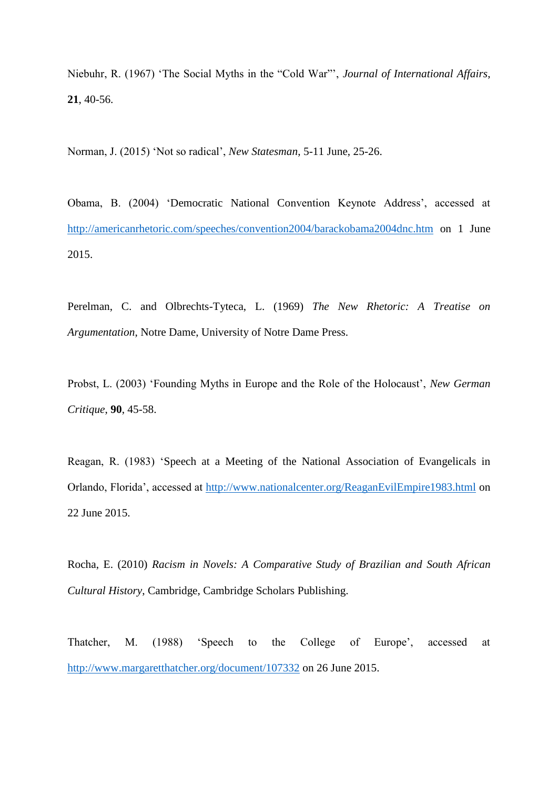Niebuhr, R. (1967) 'The Social Myths in the "Cold War"', *Journal of International Affairs*, **21**, 40-56.

Norman, J. (2015) 'Not so radical', *New Statesman*, 5-11 June, 25-26.

Obama, B. (2004) 'Democratic National Convention Keynote Address', accessed at <http://americanrhetoric.com/speeches/convention2004/barackobama2004dnc.htm> on 1 June 2015.

Perelman, C. and Olbrechts-Tyteca, L. (1969) *The New Rhetoric: A Treatise on Argumentation*, Notre Dame, University of Notre Dame Press.

Probst, L. (2003) 'Founding Myths in Europe and the Role of the Holocaust', *New German Critique*, **90**, 45-58.

Reagan, R. (1983) 'Speech at a Meeting of the National Association of Evangelicals in Orlando, Florida', accessed at<http://www.nationalcenter.org/ReaganEvilEmpire1983.html> on 22 June 2015.

Rocha, E. (2010) *Racism in Novels: A Comparative Study of Brazilian and South African Cultural History*, Cambridge, Cambridge Scholars Publishing.

Thatcher, M. (1988) 'Speech to the College of Europe', accessed at <http://www.margaretthatcher.org/document/107332> on 26 June 2015.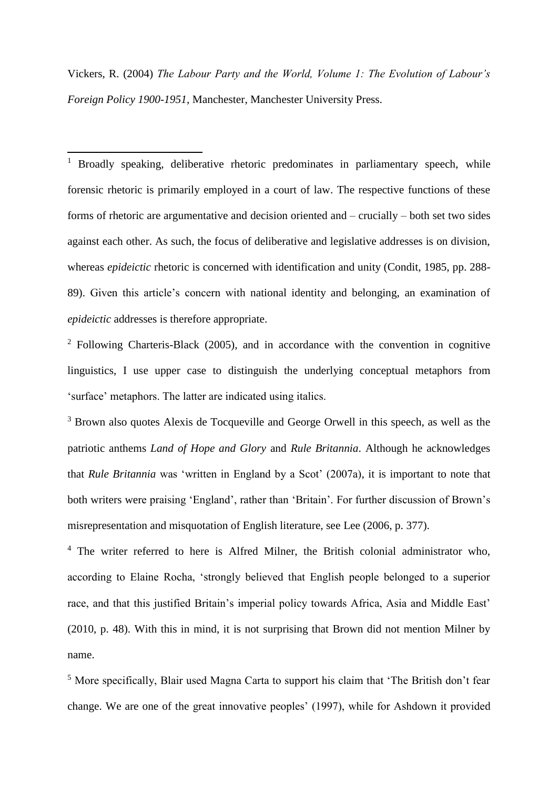Vickers, R. (2004) *The Labour Party and the World, Volume 1: The Evolution of Labour's Foreign Policy 1900-1951*, Manchester, Manchester University Press.

1

<sup>1</sup> Broadly speaking, deliberative rhetoric predominates in parliamentary speech, while forensic rhetoric is primarily employed in a court of law. The respective functions of these forms of rhetoric are argumentative and decision oriented and – crucially – both set two sides against each other. As such, the focus of deliberative and legislative addresses is on division, whereas *epideictic* rhetoric is concerned with identification and unity (Condit, 1985, pp. 288- 89). Given this article's concern with national identity and belonging, an examination of *epideictic* addresses is therefore appropriate.

<sup>2</sup> Following Charteris-Black (2005), and in accordance with the convention in cognitive linguistics, I use upper case to distinguish the underlying conceptual metaphors from 'surface' metaphors. The latter are indicated using italics.

<sup>3</sup> Brown also quotes Alexis de Tocqueville and George Orwell in this speech, as well as the patriotic anthems *Land of Hope and Glory* and *Rule Britannia*. Although he acknowledges that *Rule Britannia* was 'written in England by a Scot' (2007a), it is important to note that both writers were praising 'England', rather than 'Britain'. For further discussion of Brown's misrepresentation and misquotation of English literature, see Lee (2006, p. 377).

<sup>4</sup> The writer referred to here is Alfred Milner, the British colonial administrator who, according to Elaine Rocha, 'strongly believed that English people belonged to a superior race, and that this justified Britain's imperial policy towards Africa, Asia and Middle East' (2010, p. 48). With this in mind, it is not surprising that Brown did not mention Milner by name.

<sup>5</sup> More specifically, Blair used Magna Carta to support his claim that 'The British don't fear change. We are one of the great innovative peoples' (1997), while for Ashdown it provided